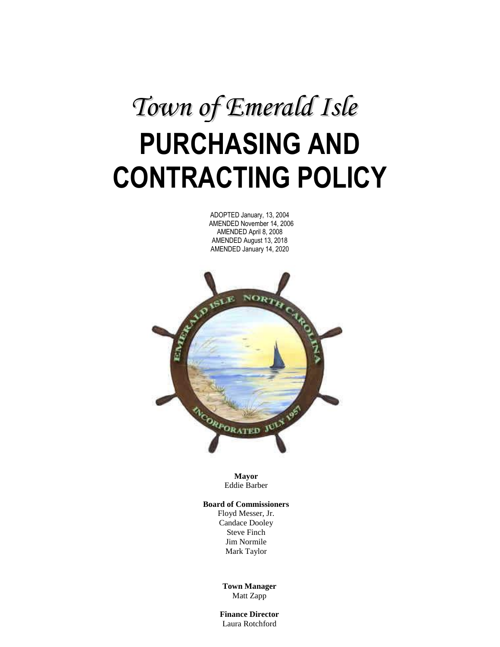# **PURCHASING AND CONTRACTING POLICY** *Town of Emerald Isle*

ADOPTED January, 13, 2004 AMENDED November 14, 2006 AMENDED April 8, 2008 AMENDED August 13, 2018 AMENDED January 14, 2020



**Mayor** Eddie Barber

#### **Board of Commissioners**

Floyd Messer, Jr. Candace Dooley Steve Finch Jim Normile Mark Taylor

**Town Manager** Matt Zapp

**1 Finance Director** Laura Rotchford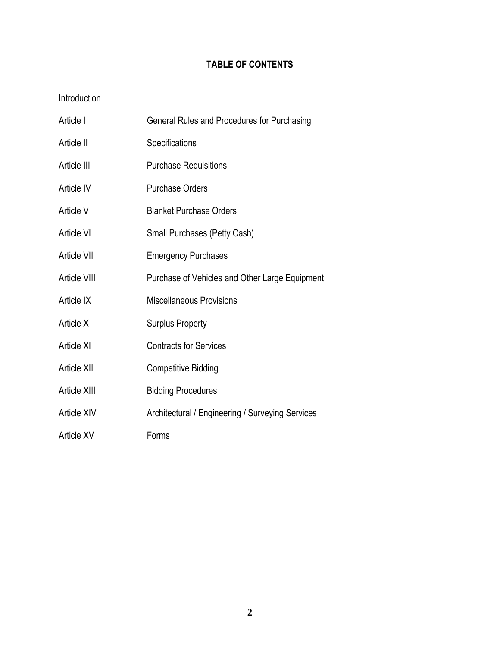# **TABLE OF CONTENTS**

# Introduction

| Article I    | General Rules and Procedures for Purchasing      |
|--------------|--------------------------------------------------|
| Article II   | Specifications                                   |
| Article III  | <b>Purchase Requisitions</b>                     |
| Article IV   | <b>Purchase Orders</b>                           |
| Article V    | <b>Blanket Purchase Orders</b>                   |
| Article VI   | Small Purchases (Petty Cash)                     |
| Article VII  | <b>Emergency Purchases</b>                       |
| Article VIII | Purchase of Vehicles and Other Large Equipment   |
| Article IX   | <b>Miscellaneous Provisions</b>                  |
| Article X    | <b>Surplus Property</b>                          |
| Article XI   | <b>Contracts for Services</b>                    |
| Article XII  | <b>Competitive Bidding</b>                       |
| Article XIII | <b>Bidding Procedures</b>                        |
| Article XIV  | Architectural / Engineering / Surveying Services |
| Article XV   | Forms                                            |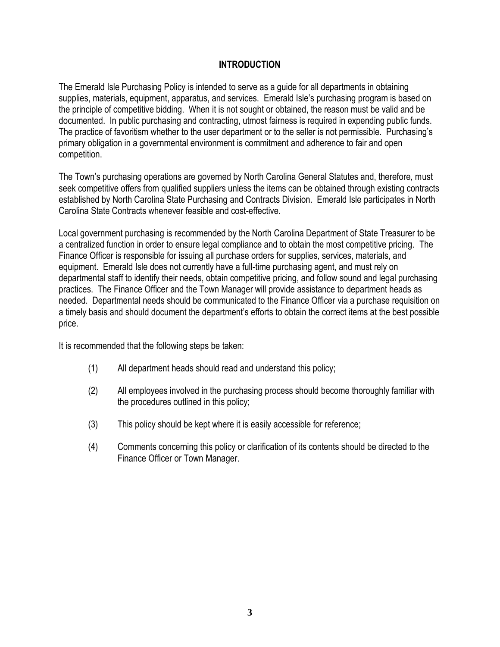#### **INTRODUCTION**

The Emerald Isle Purchasing Policy is intended to serve as a guide for all departments in obtaining supplies, materials, equipment, apparatus, and services. Emerald Isle's purchasing program is based on the principle of competitive bidding. When it is not sought or obtained, the reason must be valid and be documented. In public purchasing and contracting, utmost fairness is required in expending public funds. The practice of favoritism whether to the user department or to the seller is not permissible. Purchasing's primary obligation in a governmental environment is commitment and adherence to fair and open competition.

The Town's purchasing operations are governed by North Carolina General Statutes and, therefore, must seek competitive offers from qualified suppliers unless the items can be obtained through existing contracts established by North Carolina State Purchasing and Contracts Division. Emerald Isle participates in North Carolina State Contracts whenever feasible and cost-effective.

Local government purchasing is recommended by the North Carolina Department of State Treasurer to be a centralized function in order to ensure legal compliance and to obtain the most competitive pricing. The Finance Officer is responsible for issuing all purchase orders for supplies, services, materials, and equipment. Emerald Isle does not currently have a full-time purchasing agent, and must rely on departmental staff to identify their needs, obtain competitive pricing, and follow sound and legal purchasing practices. The Finance Officer and the Town Manager will provide assistance to department heads as needed. Departmental needs should be communicated to the Finance Officer via a purchase requisition on a timely basis and should document the department's efforts to obtain the correct items at the best possible price.

It is recommended that the following steps be taken:

- (1) All department heads should read and understand this policy;
- (2) All employees involved in the purchasing process should become thoroughly familiar with the procedures outlined in this policy;
- (3) This policy should be kept where it is easily accessible for reference;
- (4) Comments concerning this policy or clarification of its contents should be directed to the Finance Officer or Town Manager.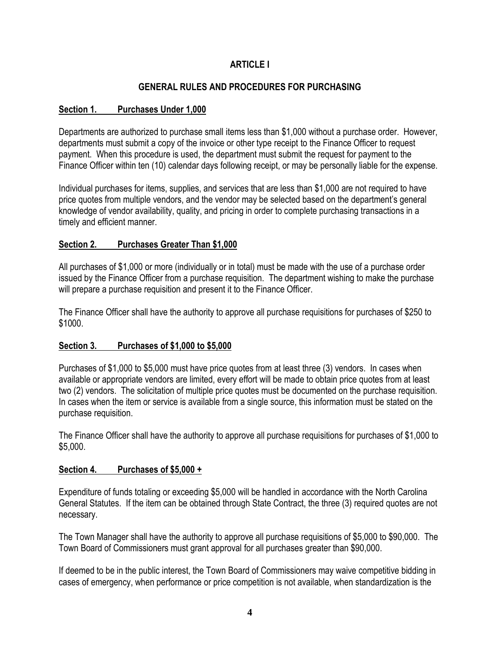# **ARTICLE I**

# **GENERAL RULES AND PROCEDURES FOR PURCHASING**

#### **Section 1. Purchases Under 1,000**

Departments are authorized to purchase small items less than \$1,000 without a purchase order. However, departments must submit a copy of the invoice or other type receipt to the Finance Officer to request payment. When this procedure is used, the department must submit the request for payment to the Finance Officer within ten (10) calendar days following receipt, or may be personally liable for the expense.

Individual purchases for items, supplies, and services that are less than \$1,000 are not required to have price quotes from multiple vendors, and the vendor may be selected based on the department's general knowledge of vendor availability, quality, and pricing in order to complete purchasing transactions in a timely and efficient manner.

#### **Section 2. Purchases Greater Than \$1,000**

All purchases of \$1,000 or more (individually or in total) must be made with the use of a purchase order issued by the Finance Officer from a purchase requisition. The department wishing to make the purchase will prepare a purchase requisition and present it to the Finance Officer.

The Finance Officer shall have the authority to approve all purchase requisitions for purchases of \$250 to \$1000.

#### **Section 3. Purchases of \$1,000 to \$5,000**

Purchases of \$1,000 to \$5,000 must have price quotes from at least three (3) vendors. In cases when available or appropriate vendors are limited, every effort will be made to obtain price quotes from at least two (2) vendors. The solicitation of multiple price quotes must be documented on the purchase requisition. In cases when the item or service is available from a single source, this information must be stated on the purchase requisition.

The Finance Officer shall have the authority to approve all purchase requisitions for purchases of \$1,000 to \$5,000.

#### **Section 4. Purchases of \$5,000 +**

Expenditure of funds totaling or exceeding \$5,000 will be handled in accordance with the North Carolina General Statutes. If the item can be obtained through State Contract, the three (3) required quotes are not necessary.

The Town Manager shall have the authority to approve all purchase requisitions of \$5,000 to \$90,000. The Town Board of Commissioners must grant approval for all purchases greater than \$90,000.

If deemed to be in the public interest, the Town Board of Commissioners may waive competitive bidding in cases of emergency, when performance or price competition is not available, when standardization is the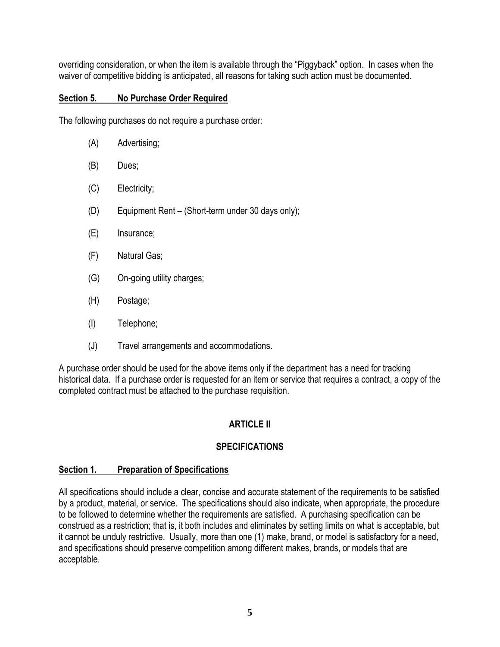overriding consideration, or when the item is available through the "Piggyback" option. In cases when the waiver of competitive bidding is anticipated, all reasons for taking such action must be documented.

#### **Section 5. No Purchase Order Required**

The following purchases do not require a purchase order:

- (A) Advertising;
- (B) Dues;
- (C) Electricity;
- (D) Equipment Rent (Short-term under 30 days only);
- (E) Insurance;
- (F) Natural Gas;
- (G) On-going utility charges;
- (H) Postage;
- (I) Telephone;
- (J) Travel arrangements and accommodations.

A purchase order should be used for the above items only if the department has a need for tracking historical data. If a purchase order is requested for an item or service that requires a contract, a copy of the completed contract must be attached to the purchase requisition.

# **ARTICLE II**

# **SPECIFICATIONS**

#### **Section 1. Preparation of Specifications**

All specifications should include a clear, concise and accurate statement of the requirements to be satisfied by a product, material, or service. The specifications should also indicate, when appropriate, the procedure to be followed to determine whether the requirements are satisfied. A purchasing specification can be construed as a restriction; that is, it both includes and eliminates by setting limits on what is acceptable, but it cannot be unduly restrictive. Usually, more than one (1) make, brand, or model is satisfactory for a need, and specifications should preserve competition among different makes, brands, or models that are acceptable.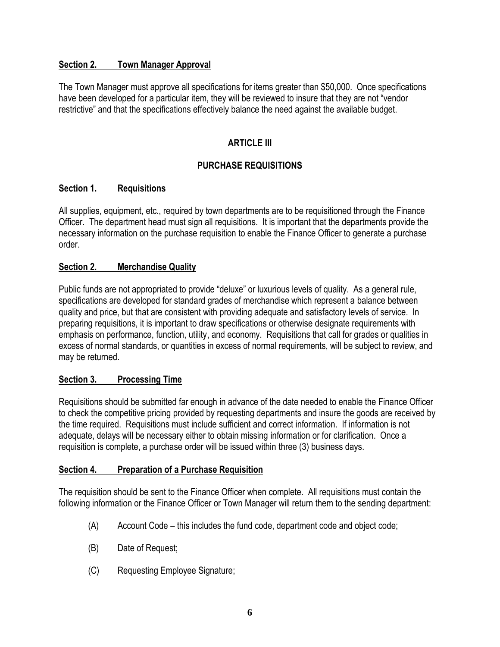#### **Section 2. Town Manager Approval**

The Town Manager must approve all specifications for items greater than \$50,000. Once specifications have been developed for a particular item, they will be reviewed to insure that they are not "vendor restrictive" and that the specifications effectively balance the need against the available budget.

# **ARTICLE III**

# **PURCHASE REQUISITIONS**

## **Section 1. Requisitions**

All supplies, equipment, etc., required by town departments are to be requisitioned through the Finance Officer. The department head must sign all requisitions. It is important that the departments provide the necessary information on the purchase requisition to enable the Finance Officer to generate a purchase order.

## **Section 2. Merchandise Quality**

Public funds are not appropriated to provide "deluxe" or luxurious levels of quality. As a general rule, specifications are developed for standard grades of merchandise which represent a balance between quality and price, but that are consistent with providing adequate and satisfactory levels of service. In preparing requisitions, it is important to draw specifications or otherwise designate requirements with emphasis on performance, function, utility, and economy. Requisitions that call for grades or qualities in excess of normal standards, or quantities in excess of normal requirements, will be subject to review, and may be returned.

#### **Section 3. Processing Time**

Requisitions should be submitted far enough in advance of the date needed to enable the Finance Officer to check the competitive pricing provided by requesting departments and insure the goods are received by the time required. Requisitions must include sufficient and correct information. If information is not adequate, delays will be necessary either to obtain missing information or for clarification. Once a requisition is complete, a purchase order will be issued within three (3) business days.

#### **Section 4. Preparation of a Purchase Requisition**

The requisition should be sent to the Finance Officer when complete. All requisitions must contain the following information or the Finance Officer or Town Manager will return them to the sending department:

- (A) Account Code this includes the fund code, department code and object code;
- (B) Date of Request;
- (C) Requesting Employee Signature;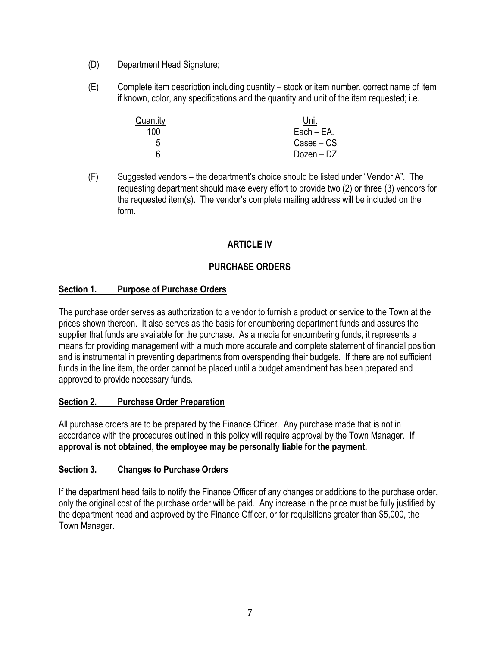- (D) Department Head Signature;
- (E) Complete item description including quantity stock or item number, correct name of item if known, color, any specifications and the quantity and unit of the item requested; i.e.

| Quantity | Unit          |
|----------|---------------|
| 100      | $Each - EA$ . |
| 5        | Cases – CS.   |
| հ        | Dozen – DZ.   |

(F) Suggested vendors – the department's choice should be listed under "Vendor A". The requesting department should make every effort to provide two (2) or three (3) vendors for the requested item(s). The vendor's complete mailing address will be included on the form.

# **ARTICLE IV**

## **PURCHASE ORDERS**

#### **Section 1. Purpose of Purchase Orders**

The purchase order serves as authorization to a vendor to furnish a product or service to the Town at the prices shown thereon. It also serves as the basis for encumbering department funds and assures the supplier that funds are available for the purchase. As a media for encumbering funds, it represents a means for providing management with a much more accurate and complete statement of financial position and is instrumental in preventing departments from overspending their budgets. If there are not sufficient funds in the line item, the order cannot be placed until a budget amendment has been prepared and approved to provide necessary funds.

#### **Section 2. Purchase Order Preparation**

All purchase orders are to be prepared by the Finance Officer. Any purchase made that is not in accordance with the procedures outlined in this policy will require approval by the Town Manager. **If approval is not obtained, the employee may be personally liable for the payment.**

#### **Section 3. Changes to Purchase Orders**

If the department head fails to notify the Finance Officer of any changes or additions to the purchase order, only the original cost of the purchase order will be paid. Any increase in the price must be fully justified by the department head and approved by the Finance Officer, or for requisitions greater than \$5,000, the Town Manager.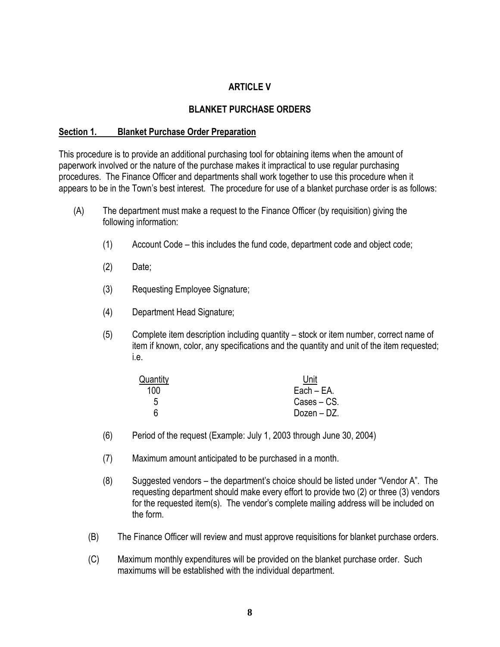#### **ARTICLE V**

#### **BLANKET PURCHASE ORDERS**

#### **Section 1. Blanket Purchase Order Preparation**

This procedure is to provide an additional purchasing tool for obtaining items when the amount of paperwork involved or the nature of the purchase makes it impractical to use regular purchasing procedures. The Finance Officer and departments shall work together to use this procedure when it appears to be in the Town's best interest. The procedure for use of a blanket purchase order is as follows:

- (A) The department must make a request to the Finance Officer (by requisition) giving the following information:
	- (1) Account Code this includes the fund code, department code and object code;
	- (2) Date;
	- (3) Requesting Employee Signature;
	- (4) Department Head Signature;
	- (5) Complete item description including quantity stock or item number, correct name of item if known, color, any specifications and the quantity and unit of the item requested; i.e.

| Quantity | Unit        |
|----------|-------------|
| 100      | Each - EA.  |
| 5        | Cases – CS. |
|          | Dozen – DZ. |

- (6) Period of the request (Example: July 1, 2003 through June 30, 2004)
- (7) Maximum amount anticipated to be purchased in a month.
- (8) Suggested vendors the department's choice should be listed under "Vendor A". The requesting department should make every effort to provide two (2) or three (3) vendors for the requested item(s). The vendor's complete mailing address will be included on the form.
- (B) The Finance Officer will review and must approve requisitions for blanket purchase orders.
- (C) Maximum monthly expenditures will be provided on the blanket purchase order. Such maximums will be established with the individual department.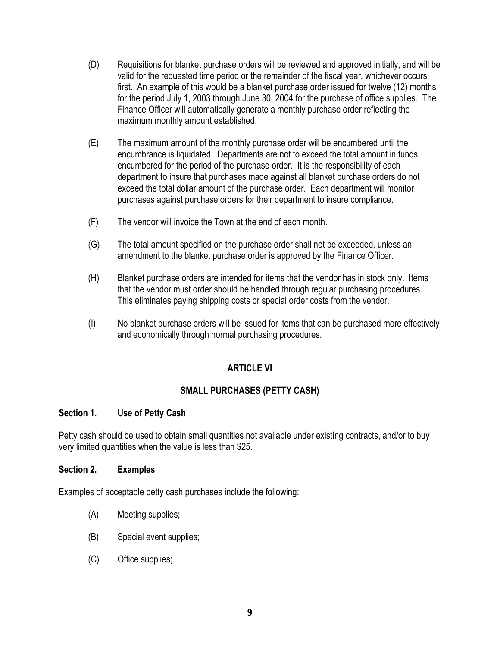- (D) Requisitions for blanket purchase orders will be reviewed and approved initially, and will be valid for the requested time period or the remainder of the fiscal year, whichever occurs first. An example of this would be a blanket purchase order issued for twelve (12) months for the period July 1, 2003 through June 30, 2004 for the purchase of office supplies. The Finance Officer will automatically generate a monthly purchase order reflecting the maximum monthly amount established.
- (E) The maximum amount of the monthly purchase order will be encumbered until the encumbrance is liquidated. Departments are not to exceed the total amount in funds encumbered for the period of the purchase order. It is the responsibility of each department to insure that purchases made against all blanket purchase orders do not exceed the total dollar amount of the purchase order. Each department will monitor purchases against purchase orders for their department to insure compliance.
- (F) The vendor will invoice the Town at the end of each month.
- (G) The total amount specified on the purchase order shall not be exceeded, unless an amendment to the blanket purchase order is approved by the Finance Officer.
- (H) Blanket purchase orders are intended for items that the vendor has in stock only. Items that the vendor must order should be handled through regular purchasing procedures. This eliminates paying shipping costs or special order costs from the vendor.
- (I) No blanket purchase orders will be issued for items that can be purchased more effectively and economically through normal purchasing procedures.

#### **ARTICLE VI**

#### **SMALL PURCHASES (PETTY CASH)**

#### **Section 1. Use of Petty Cash**

Petty cash should be used to obtain small quantities not available under existing contracts, and/or to buy very limited quantities when the value is less than \$25.

#### **Section 2. Examples**

Examples of acceptable petty cash purchases include the following:

- (A) Meeting supplies;
- (B) Special event supplies;
- (C) Office supplies;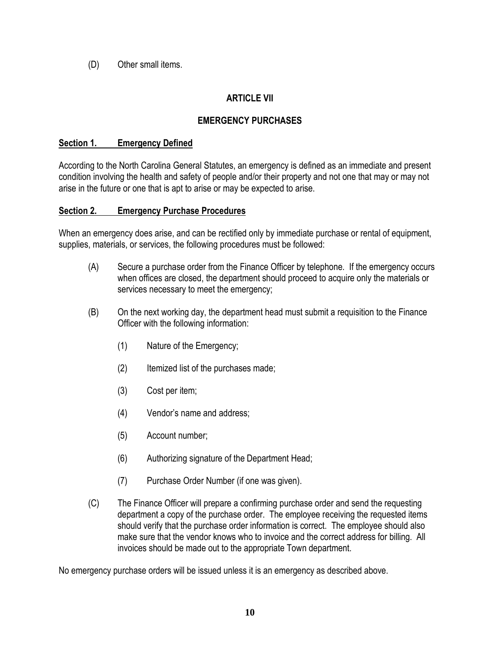(D) Other small items.

# **ARTICLE VII**

# **EMERGENCY PURCHASES**

#### **Section 1. Emergency Defined**

According to the North Carolina General Statutes, an emergency is defined as an immediate and present condition involving the health and safety of people and/or their property and not one that may or may not arise in the future or one that is apt to arise or may be expected to arise.

#### **Section 2. Emergency Purchase Procedures**

When an emergency does arise, and can be rectified only by immediate purchase or rental of equipment, supplies, materials, or services, the following procedures must be followed:

- (A) Secure a purchase order from the Finance Officer by telephone. If the emergency occurs when offices are closed, the department should proceed to acquire only the materials or services necessary to meet the emergency;
- (B) On the next working day, the department head must submit a requisition to the Finance Officer with the following information:
	- (1) Nature of the Emergency;
	- (2) Itemized list of the purchases made;
	- (3) Cost per item;
	- (4) Vendor's name and address;
	- (5) Account number;
	- (6) Authorizing signature of the Department Head;
	- (7) Purchase Order Number (if one was given).
- (C) The Finance Officer will prepare a confirming purchase order and send the requesting department a copy of the purchase order. The employee receiving the requested items should verify that the purchase order information is correct. The employee should also make sure that the vendor knows who to invoice and the correct address for billing. All invoices should be made out to the appropriate Town department.

No emergency purchase orders will be issued unless it is an emergency as described above.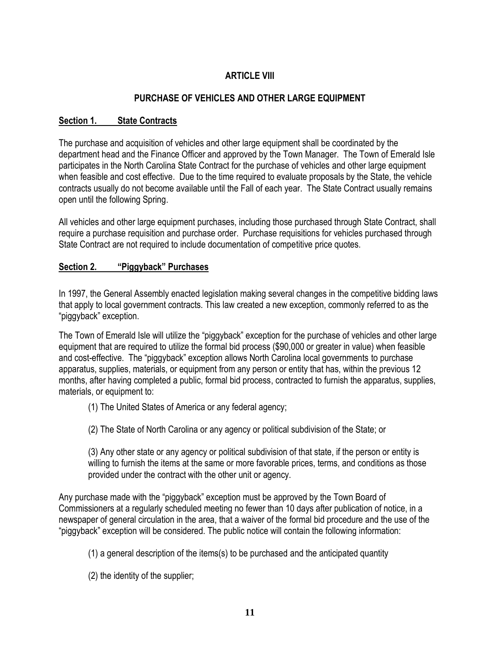# **ARTICLE VIII**

# **PURCHASE OF VEHICLES AND OTHER LARGE EQUIPMENT**

#### **Section 1. State Contracts**

The purchase and acquisition of vehicles and other large equipment shall be coordinated by the department head and the Finance Officer and approved by the Town Manager. The Town of Emerald Isle participates in the North Carolina State Contract for the purchase of vehicles and other large equipment when feasible and cost effective. Due to the time required to evaluate proposals by the State, the vehicle contracts usually do not become available until the Fall of each year. The State Contract usually remains open until the following Spring.

All vehicles and other large equipment purchases, including those purchased through State Contract, shall require a purchase requisition and purchase order. Purchase requisitions for vehicles purchased through State Contract are not required to include documentation of competitive price quotes.

#### **Section 2. "Piggyback" Purchases**

In 1997, the General Assembly enacted legislation making several changes in the competitive bidding laws that apply to local government contracts. This law created a new exception, commonly referred to as the "piggyback" exception.

The Town of Emerald Isle will utilize the "piggyback" exception for the purchase of vehicles and other large equipment that are required to utilize the formal bid process (\$90,000 or greater in value) when feasible and cost-effective. The "piggyback" exception allows North Carolina local governments to purchase apparatus, supplies, materials, or equipment from any person or entity that has, within the previous 12 months, after having completed a public, formal bid process, contracted to furnish the apparatus, supplies, materials, or equipment to:

(1) The United States of America or any federal agency;

(2) The State of North Carolina or any agency or political subdivision of the State; or

(3) Any other state or any agency or political subdivision of that state, if the person or entity is willing to furnish the items at the same or more favorable prices, terms, and conditions as those provided under the contract with the other unit or agency.

Any purchase made with the "piggyback" exception must be approved by the Town Board of Commissioners at a regularly scheduled meeting no fewer than 10 days after publication of notice, in a newspaper of general circulation in the area, that a waiver of the formal bid procedure and the use of the "piggyback" exception will be considered. The public notice will contain the following information:

(1) a general description of the items(s) to be purchased and the anticipated quantity

(2) the identity of the supplier;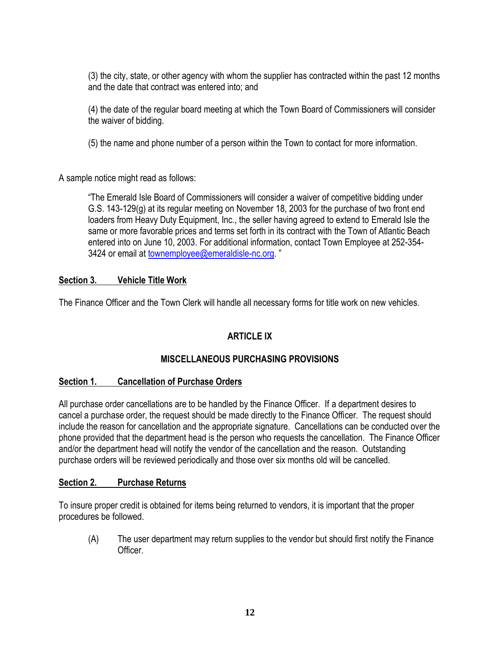(3) the city, state, or other agency with whom the supplier has contracted within the past 12 months and the date that contract was entered into; and

(4) the date of the regular board meeting at which the Town Board of Commissioners will consider the waiver of bidding.

(5) the name and phone number of a person within the Town to contact for more information.

A sample notice might read as follows:

"The Emerald Isle Board of Commissioners will consider a waiver of competitive bidding under G.S. 143-129(g) at its regular meeting on November 18, 2003 for the purchase of two front end loaders from Heavy Duty Equipment, Inc., the seller having agreed to extend to Emerald Isle the same or more favorable prices and terms set forth in its contract with the Town of Atlantic Beach entered into on June 10, 2003. For additional information, contact Town Employee at 252-354 3424 or email at [townemployee@emeraldisle-nc.org.](mailto:townemployee@emeraldisle-nc.org)"

## **Section 3. Vehicle Title Work**

The Finance Officer and the Town Clerk will handle all necessary forms for title work on new vehicles.

# **ARTICLE IX**

# **MISCELLANEOUS PURCHASING PROVISIONS**

#### **Section 1. Cancellation of Purchase Orders**

All purchase order cancellations are to be handled by the Finance Officer. If a department desires to cancel a purchase order, the request should be made directly to the Finance Officer. The request should include the reason for cancellation and the appropriate signature. Cancellations can be conducted over the phone provided that the department head is the person who requests the cancellation. The Finance Officer and/or the department head will notify the vendor of the cancellation and the reason. Outstanding purchase orders will be reviewed periodically and those over six months old will be cancelled.

#### **Section 2. Purchase Returns**

To insure proper credit is obtained for items being returned to vendors, it is important that the proper procedures be followed.

(A) The user department may return supplies to the vendor but should first notify the Finance **Officer**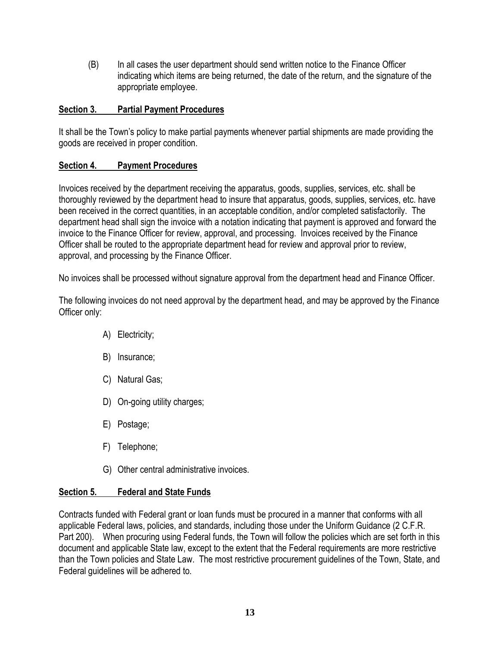(B) In all cases the user department should send written notice to the Finance Officer indicating which items are being returned, the date of the return, and the signature of the appropriate employee.

## **Section 3. Partial Payment Procedures**

It shall be the Town's policy to make partial payments whenever partial shipments are made providing the goods are received in proper condition.

## **Section 4. Payment Procedures**

Invoices received by the department receiving the apparatus, goods, supplies, services, etc. shall be thoroughly reviewed by the department head to insure that apparatus, goods, supplies, services, etc. have been received in the correct quantities, in an acceptable condition, and/or completed satisfactorily. The department head shall sign the invoice with a notation indicating that payment is approved and forward the invoice to the Finance Officer for review, approval, and processing. Invoices received by the Finance Officer shall be routed to the appropriate department head for review and approval prior to review, approval, and processing by the Finance Officer.

No invoices shall be processed without signature approval from the department head and Finance Officer.

The following invoices do not need approval by the department head, and may be approved by the Finance Officer only:

- A) Electricity;
- B) Insurance;
- C) Natural Gas;
- D) On-going utility charges;
- E) Postage;
- F) Telephone;
- G) Other central administrative invoices.

#### **Section 5. Federal and State Funds**

Contracts funded with Federal grant or loan funds must be procured in a manner that conforms with all applicable Federal laws, policies, and standards, including those under the Uniform Guidance (2 C.F.R. Part 200). When procuring using Federal funds, the Town will follow the policies which are set forth in this document and applicable State law, except to the extent that the Federal requirements are more restrictive than the Town policies and State Law. The most restrictive procurement guidelines of the Town, State, and Federal guidelines will be adhered to.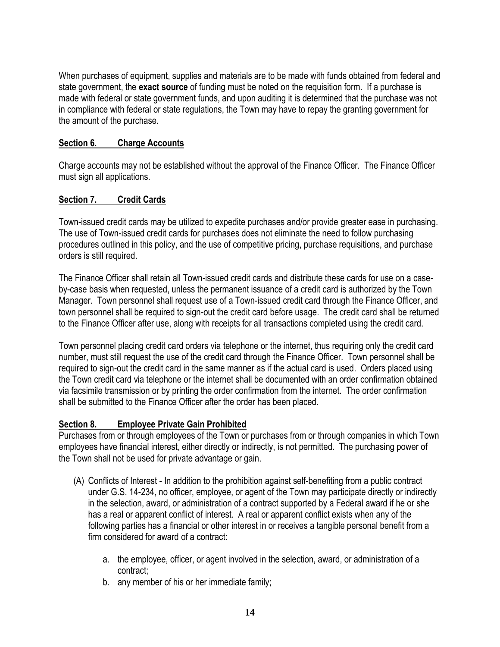When purchases of equipment, supplies and materials are to be made with funds obtained from federal and state government, the **exact source** of funding must be noted on the requisition form. If a purchase is made with federal or state government funds, and upon auditing it is determined that the purchase was not in compliance with federal or state regulations, the Town may have to repay the granting government for the amount of the purchase.

#### **Section 6. Charge Accounts**

Charge accounts may not be established without the approval of the Finance Officer. The Finance Officer must sign all applications.

## **Section 7. Credit Cards**

Town-issued credit cards may be utilized to expedite purchases and/or provide greater ease in purchasing. The use of Town-issued credit cards for purchases does not eliminate the need to follow purchasing procedures outlined in this policy, and the use of competitive pricing, purchase requisitions, and purchase orders is still required.

The Finance Officer shall retain all Town-issued credit cards and distribute these cards for use on a caseby-case basis when requested, unless the permanent issuance of a credit card is authorized by the Town Manager. Town personnel shall request use of a Town-issued credit card through the Finance Officer, and town personnel shall be required to sign-out the credit card before usage. The credit card shall be returned to the Finance Officer after use, along with receipts for all transactions completed using the credit card.

Town personnel placing credit card orders via telephone or the internet, thus requiring only the credit card number, must still request the use of the credit card through the Finance Officer. Town personnel shall be required to sign-out the credit card in the same manner as if the actual card is used. Orders placed using the Town credit card via telephone or the internet shall be documented with an order confirmation obtained via facsimile transmission or by printing the order confirmation from the internet. The order confirmation shall be submitted to the Finance Officer after the order has been placed.

# **Section 8. Employee Private Gain Prohibited**

Purchases from or through employees of the Town or purchases from or through companies in which Town employees have financial interest, either directly or indirectly, is not permitted. The purchasing power of the Town shall not be used for private advantage or gain.

- (A) Conflicts of Interest In addition to the prohibition against self-benefiting from a public contract under G.S. 14-234, no officer, employee, or agent of the Town may participate directly or indirectly in the selection, award, or administration of a contract supported by a Federal award if he or she has a real or apparent conflict of interest. A real or apparent conflict exists when any of the following parties has a financial or other interest in or receives a tangible personal benefit from a firm considered for award of a contract:
	- a. the employee, officer, or agent involved in the selection, award, or administration of a contract;
	- b. any member of his or her immediate family;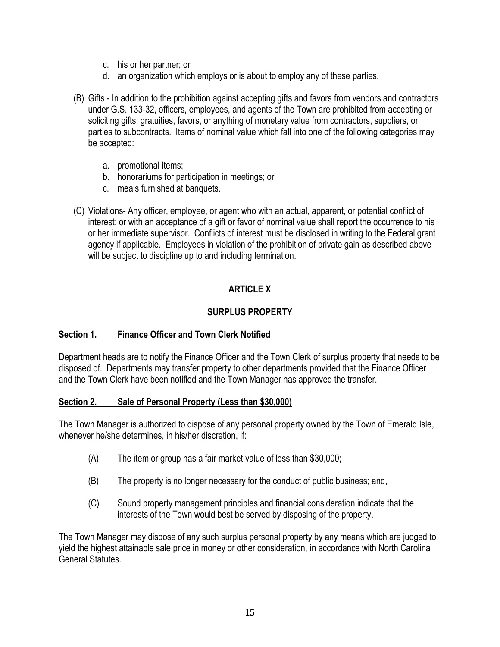- c. his or her partner; or
- d. an organization which employs or is about to employ any of these parties.
- (B) Gifts In addition to the prohibition against accepting gifts and favors from vendors and contractors under G.S. 133-32, officers, employees, and agents of the Town are prohibited from accepting or soliciting gifts, gratuities, favors, or anything of monetary value from contractors, suppliers, or parties to subcontracts. Items of nominal value which fall into one of the following categories may be accepted:
	- a. promotional items;
	- b. honorariums for participation in meetings; or
	- c. meals furnished at banquets.
- (C) Violations- Any officer, employee, or agent who with an actual, apparent, or potential conflict of interest; or with an acceptance of a gift or favor of nominal value shall report the occurrence to his or her immediate supervisor. Conflicts of interest must be disclosed in writing to the Federal grant agency if applicable. Employees in violation of the prohibition of private gain as described above will be subject to discipline up to and including termination.

# **ARTICLE X**

## **SURPLUS PROPERTY**

#### **Section 1. Finance Officer and Town Clerk Notified**

Department heads are to notify the Finance Officer and the Town Clerk of surplus property that needs to be disposed of. Departments may transfer property to other departments provided that the Finance Officer and the Town Clerk have been notified and the Town Manager has approved the transfer.

#### **Section 2. Sale of Personal Property (Less than \$30,000)**

The Town Manager is authorized to dispose of any personal property owned by the Town of Emerald Isle, whenever he/she determines, in his/her discretion, if:

- (A) The item or group has a fair market value of less than \$30,000;
- (B) The property is no longer necessary for the conduct of public business; and,
- (C) Sound property management principles and financial consideration indicate that the interests of the Town would best be served by disposing of the property.

The Town Manager may dispose of any such surplus personal property by any means which are judged to yield the highest attainable sale price in money or other consideration, in accordance with North Carolina General Statutes.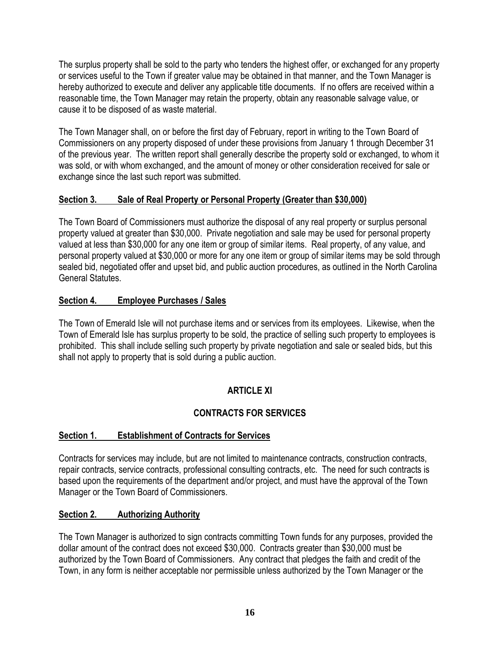The surplus property shall be sold to the party who tenders the highest offer, or exchanged for any property or services useful to the Town if greater value may be obtained in that manner, and the Town Manager is hereby authorized to execute and deliver any applicable title documents. If no offers are received within a reasonable time, the Town Manager may retain the property, obtain any reasonable salvage value, or cause it to be disposed of as waste material.

The Town Manager shall, on or before the first day of February, report in writing to the Town Board of Commissioners on any property disposed of under these provisions from January 1 through December 31 of the previous year. The written report shall generally describe the property sold or exchanged, to whom it was sold, or with whom exchanged, and the amount of money or other consideration received for sale or exchange since the last such report was submitted.

# **Section 3. Sale of Real Property or Personal Property (Greater than \$30,000)**

The Town Board of Commissioners must authorize the disposal of any real property or surplus personal property valued at greater than \$30,000. Private negotiation and sale may be used for personal property valued at less than \$30,000 for any one item or group of similar items. Real property, of any value, and personal property valued at \$30,000 or more for any one item or group of similar items may be sold through sealed bid, negotiated offer and upset bid, and public auction procedures, as outlined in the North Carolina General Statutes.

# **Section 4. Employee Purchases / Sales**

The Town of Emerald Isle will not purchase items and or services from its employees. Likewise, when the Town of Emerald Isle has surplus property to be sold, the practice of selling such property to employees is prohibited. This shall include selling such property by private negotiation and sale or sealed bids, but this shall not apply to property that is sold during a public auction.

# **ARTICLE XI**

# **CONTRACTS FOR SERVICES**

# **Section 1. Establishment of Contracts for Services**

Contracts for services may include, but are not limited to maintenance contracts, construction contracts, repair contracts, service contracts, professional consulting contracts, etc. The need for such contracts is based upon the requirements of the department and/or project, and must have the approval of the Town Manager or the Town Board of Commissioners.

#### **Section 2. Authorizing Authority**

The Town Manager is authorized to sign contracts committing Town funds for any purposes, provided the dollar amount of the contract does not exceed \$30,000. Contracts greater than \$30,000 must be authorized by the Town Board of Commissioners. Any contract that pledges the faith and credit of the Town, in any form is neither acceptable nor permissible unless authorized by the Town Manager or the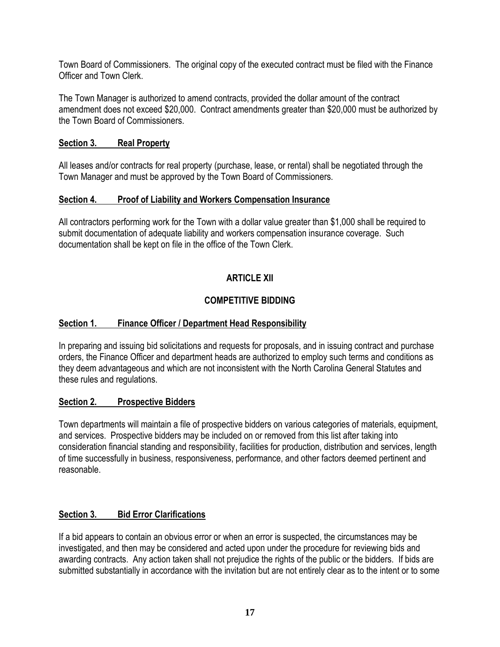Town Board of Commissioners. The original copy of the executed contract must be filed with the Finance Officer and Town Clerk.

The Town Manager is authorized to amend contracts, provided the dollar amount of the contract amendment does not exceed \$20,000. Contract amendments greater than \$20,000 must be authorized by the Town Board of Commissioners.

#### **Section 3. Real Property**

All leases and/or contracts for real property (purchase, lease, or rental) shall be negotiated through the Town Manager and must be approved by the Town Board of Commissioners.

## **Section 4. Proof of Liability and Workers Compensation Insurance**

All contractors performing work for the Town with a dollar value greater than \$1,000 shall be required to submit documentation of adequate liability and workers compensation insurance coverage. Such documentation shall be kept on file in the office of the Town Clerk.

# **ARTICLE XII**

# **COMPETITIVE BIDDING**

# **Section 1. Finance Officer / Department Head Responsibility**

In preparing and issuing bid solicitations and requests for proposals, and in issuing contract and purchase orders, the Finance Officer and department heads are authorized to employ such terms and conditions as they deem advantageous and which are not inconsistent with the North Carolina General Statutes and these rules and regulations.

#### **Section 2. Prospective Bidders**

Town departments will maintain a file of prospective bidders on various categories of materials, equipment, and services. Prospective bidders may be included on or removed from this list after taking into consideration financial standing and responsibility, facilities for production, distribution and services, length of time successfully in business, responsiveness, performance, and other factors deemed pertinent and reasonable.

#### **Section 3. Bid Error Clarifications**

If a bid appears to contain an obvious error or when an error is suspected, the circumstances may be investigated, and then may be considered and acted upon under the procedure for reviewing bids and awarding contracts. Any action taken shall not prejudice the rights of the public or the bidders. If bids are submitted substantially in accordance with the invitation but are not entirely clear as to the intent or to some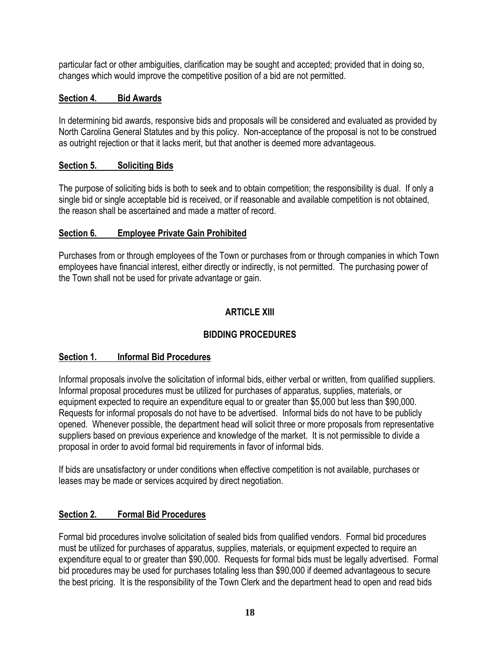particular fact or other ambiguities, clarification may be sought and accepted; provided that in doing so, changes which would improve the competitive position of a bid are not permitted.

#### **Section 4. Bid Awards**

In determining bid awards, responsive bids and proposals will be considered and evaluated as provided by North Carolina General Statutes and by this policy. Non-acceptance of the proposal is not to be construed as outright rejection or that it lacks merit, but that another is deemed more advantageous.

#### **Section 5. Soliciting Bids**

The purpose of soliciting bids is both to seek and to obtain competition; the responsibility is dual. If only a single bid or single acceptable bid is received, or if reasonable and available competition is not obtained, the reason shall be ascertained and made a matter of record.

#### **Section 6. Employee Private Gain Prohibited**

Purchases from or through employees of the Town or purchases from or through companies in which Town employees have financial interest, either directly or indirectly, is not permitted. The purchasing power of the Town shall not be used for private advantage or gain.

## **ARTICLE XIII**

# **BIDDING PROCEDURES**

#### **Section 1. Informal Bid Procedures**

Informal proposals involve the solicitation of informal bids, either verbal or written, from qualified suppliers. Informal proposal procedures must be utilized for purchases of apparatus, supplies, materials, or equipment expected to require an expenditure equal to or greater than \$5,000 but less than \$90,000. Requests for informal proposals do not have to be advertised. Informal bids do not have to be publicly opened. Whenever possible, the department head will solicit three or more proposals from representative suppliers based on previous experience and knowledge of the market. It is not permissible to divide a proposal in order to avoid formal bid requirements in favor of informal bids.

If bids are unsatisfactory or under conditions when effective competition is not available, purchases or leases may be made or services acquired by direct negotiation.

#### **Section 2. Formal Bid Procedures**

Formal bid procedures involve solicitation of sealed bids from qualified vendors. Formal bid procedures must be utilized for purchases of apparatus, supplies, materials, or equipment expected to require an expenditure equal to or greater than \$90,000. Requests for formal bids must be legally advertised. Formal bid procedures may be used for purchases totaling less than \$90,000 if deemed advantageous to secure the best pricing. It is the responsibility of the Town Clerk and the department head to open and read bids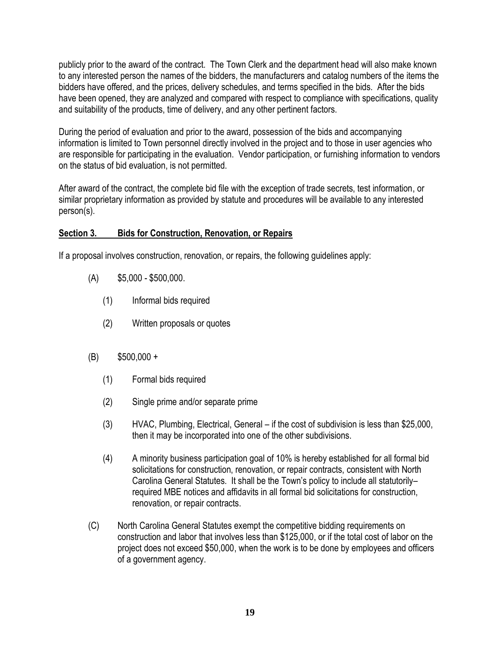publicly prior to the award of the contract. The Town Clerk and the department head will also make known to any interested person the names of the bidders, the manufacturers and catalog numbers of the items the bidders have offered, and the prices, delivery schedules, and terms specified in the bids. After the bids have been opened, they are analyzed and compared with respect to compliance with specifications, quality and suitability of the products, time of delivery, and any other pertinent factors.

During the period of evaluation and prior to the award, possession of the bids and accompanying information is limited to Town personnel directly involved in the project and to those in user agencies who are responsible for participating in the evaluation. Vendor participation, or furnishing information to vendors on the status of bid evaluation, is not permitted.

After award of the contract, the complete bid file with the exception of trade secrets, test information, or similar proprietary information as provided by statute and procedures will be available to any interested person(s).

## **Section 3. Bids for Construction, Renovation, or Repairs**

If a proposal involves construction, renovation, or repairs, the following guidelines apply:

- (A) \$5,000 \$500,000.
	- (1) Informal bids required
	- (2) Written proposals or quotes
- (B) \$500,000 +
	- (1) Formal bids required
	- (2) Single prime and/or separate prime
	- (3) HVAC, Plumbing, Electrical, General if the cost of subdivision is less than \$25,000, then it may be incorporated into one of the other subdivisions.
	- (4) A minority business participation goal of 10% is hereby established for all formal bid solicitations for construction, renovation, or repair contracts, consistent with North Carolina General Statutes. It shall be the Town's policy to include all statutorily– required MBE notices and affidavits in all formal bid solicitations for construction, renovation, or repair contracts.
- (C) North Carolina General Statutes exempt the competitive bidding requirements on construction and labor that involves less than \$125,000, or if the total cost of labor on the project does not exceed \$50,000, when the work is to be done by employees and officers of a government agency.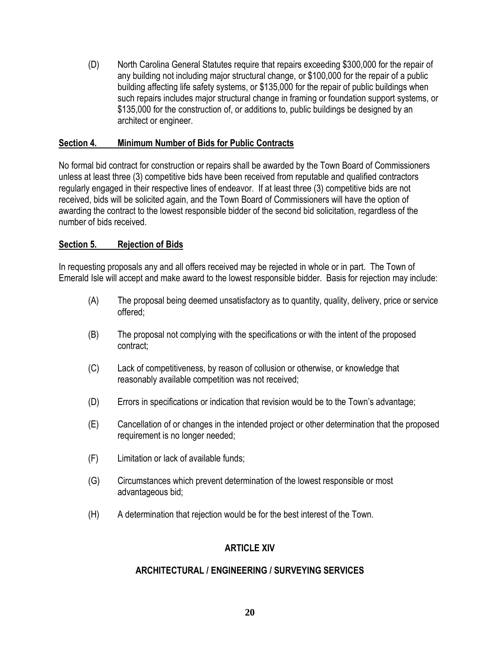(D) North Carolina General Statutes require that repairs exceeding \$300,000 for the repair of any building not including major structural change, or \$100,000 for the repair of a public building affecting life safety systems, or \$135,000 for the repair of public buildings when such repairs includes major structural change in framing or foundation support systems, or \$135,000 for the construction of, or additions to, public buildings be designed by an architect or engineer.

#### **Section 4. Minimum Number of Bids for Public Contracts**

No formal bid contract for construction or repairs shall be awarded by the Town Board of Commissioners unless at least three (3) competitive bids have been received from reputable and qualified contractors regularly engaged in their respective lines of endeavor. If at least three (3) competitive bids are not received, bids will be solicited again, and the Town Board of Commissioners will have the option of awarding the contract to the lowest responsible bidder of the second bid solicitation, regardless of the number of bids received.

## **Section 5. Rejection of Bids**

In requesting proposals any and all offers received may be rejected in whole or in part. The Town of Emerald Isle will accept and make award to the lowest responsible bidder. Basis for rejection may include:

- (A) The proposal being deemed unsatisfactory as to quantity, quality, delivery, price or service offered;
- (B) The proposal not complying with the specifications or with the intent of the proposed contract;
- (C) Lack of competitiveness, by reason of collusion or otherwise, or knowledge that reasonably available competition was not received;
- (D) Errors in specifications or indication that revision would be to the Town's advantage;
- (E) Cancellation of or changes in the intended project or other determination that the proposed requirement is no longer needed;
- (F) Limitation or lack of available funds;
- (G) Circumstances which prevent determination of the lowest responsible or most advantageous bid;
- (H) A determination that rejection would be for the best interest of the Town.

# **ARTICLE XIV**

# **ARCHITECTURAL / ENGINEERING / SURVEYING SERVICES**